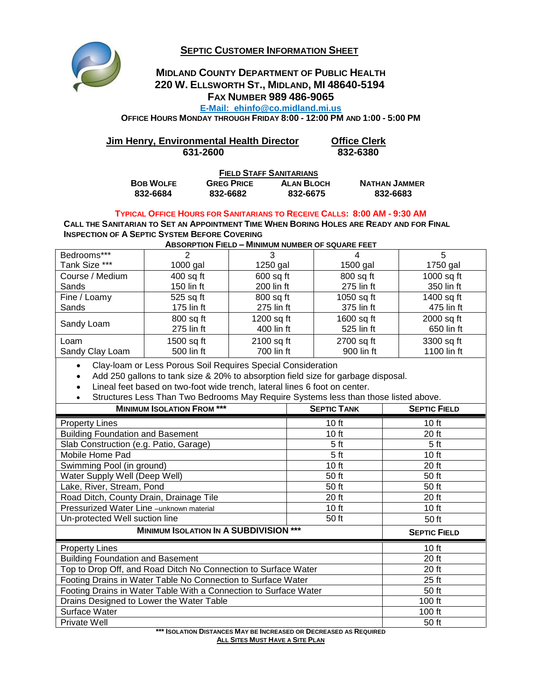**SEPTIC CUSTOMER INFORMATION SHEET**



## **MIDLAND COUNTY DEPARTMENT OF PUBLIC HEALTH 220 W. ELLSWORTH ST., MIDLAND, MI 48640-5194 FAX NUMBER 989 486-9065**

**E-Mail: ehinfo@co.midland.mi.us**

**OFFICE HOURS MONDAY THROUGH FRIDAY 8:00 - 12:00 PM AND 1:00 - 5:00 PM**

| Jim Henry, Environmental Health Director | <b>Office Clerk</b> |
|------------------------------------------|---------------------|
| 631-2600                                 | 832-6380            |
| <b>FIELD STAFF SANITARIANS</b>           |                     |

| <b>BOB WOLFE</b> | <b>GREG PRICE</b> | <b>ALAN BLOCH</b> | <b>NATHAN JAMMER</b> |  |  |
|------------------|-------------------|-------------------|----------------------|--|--|
| 832-6684         | 832-6682          | 832-6675          | 832-6683             |  |  |

## **TYPICAL OFFICE HOURS FOR SANITARIANS TO RECEIVE CALLS: 8:00 AM - 9:30 AM**

CALL THE SANITARIAN TO SET AN APPOINTMENT TIME WHEN BORING HOLES ARE READY AND FOR FINAL **INSPECTION OF A SEPTIC SYSTEM BEFORE COVERING**

**ABSORPTION FIELD – MINIMUM NUMBER OF SQUARE FEET**

| Bedrooms***     | 2            | 3           |            | 5            |
|-----------------|--------------|-------------|------------|--------------|
| Tank Size ***   | $1000$ gal   | $1250$ gal  | 1500 gal   | 1750 gal     |
| Course / Medium | $400$ sq ft  | $600$ sq ft | 800 sq ft  | $1000$ sq ft |
| Sands           | 150 lin ft   | 200 lin ft  | 275 lin ft | 350 lin ft   |
| Fine / Loamy    | 525 sq ft    | 800 sq ft   | 1050 sq ft | 1400 sq ft   |
| Sands           | $175$ lin ft | 275 lin ft  | 375 lin ft | 475 lin ft   |
|                 | 800 sq ft    | 1200 sq ft  | 1600 sq ft | 2000 sq ft   |
| Sandy Loam      | 275 lin ft   | 400 lin ft  | 525 lin ft | 650 lin ft   |
| Loam            | 1500 sq ft   | 2100 sq ft  | 2700 sq ft | 3300 sq ft   |
| Sandy Clay Loam | 500 lin ft   | 700 lin ft  | 900 lin ft | 1100 lin ft  |
|                 |              |             |            |              |

Clay-loam or Less Porous Soil Requires Special Consideration

Add 250 gallons to tank size & 20% to absorption field size for garbage disposal.

Lineal feet based on two-foot wide trench, lateral lines 6 foot on center.

Structures Less Than Two Bedrooms May Require Systems less than those listed above.

| <b>MINIMUM ISOLATION FROM ***</b>                                | <b>SEPTIC TANK</b>  | <b>SEPTIC FIELD</b> |
|------------------------------------------------------------------|---------------------|---------------------|
| <b>Property Lines</b>                                            | 10 <sub>ft</sub>    | 10 <sub>ft</sub>    |
| <b>Building Foundation and Basement</b>                          | 10 ft               | 20 ft               |
| Slab Construction (e.g. Patio, Garage)                           | 5 <sub>ft</sub>     | 5 <sub>ft</sub>     |
| Mobile Home Pad                                                  | 5 <sub>ft</sub>     | 10 ft               |
| Swimming Pool (in ground)                                        | 10 ft               | 20 ft               |
| Water Supply Well (Deep Well)                                    | 50 ft               | 50 ft               |
| Lake, River, Stream, Pond                                        | 50 ft               | 50 ft               |
| Road Ditch, County Drain, Drainage Tile                          | 20 ft               | 20 ft               |
| Pressurized Water Line -unknown material                         | 10 ft               | $10$ ft             |
| Un-protected Well suction line                                   | 50 ft               | 50 ft               |
| <b>MINIMUM ISOLATION IN A SUBDIVISION ***</b>                    | <b>SEPTIC FIELD</b> |                     |
| <b>Property Lines</b>                                            | 10 ft               |                     |
| <b>Building Foundation and Basement</b>                          | 20 ft               |                     |
| Top to Drop Off, and Road Ditch No Connection to Surface Water   | 20 ft               |                     |
| Footing Drains in Water Table No Connection to Surface Water     | $25$ ft             |                     |
| Footing Drains in Water Table With a Connection to Surface Water | 50 ft               |                     |
| Drains Designed to Lower the Water Table                         | 100 ft              |                     |
| Surface Water                                                    | 100 ft              |                     |
| Private Well                                                     | 50 ft               |                     |

**\*\*\* ISOLATION DISTANCES MAY BE INCREASED OR DECREASED AS REQUIRED ALL SITES MUST HAVE A SITE PLAN**